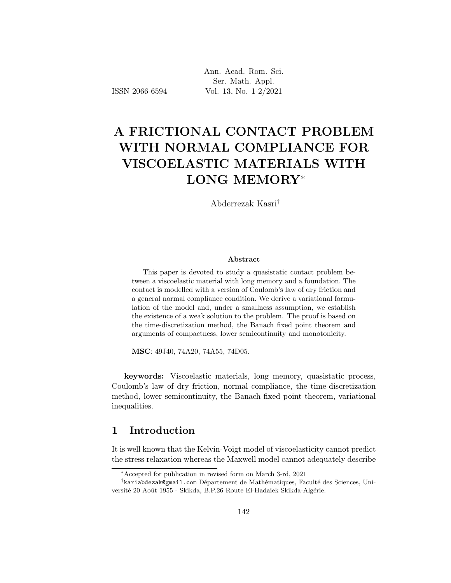# A FRICTIONAL CONTACT PROBLEM WITH NORMAL COMPLIANCE FOR VISCOELASTIC MATERIALS WITH LONG MEMORY<sup>∗</sup>

Abderrezak Kasri†

### Abstract

This paper is devoted to study a quasistatic contact problem between a viscoelastic material with long memory and a foundation. The contact is modelled with a version of Coulomb's law of dry friction and a general normal compliance condition. We derive a variational formulation of the model and, under a smallness assumption, we establish the existence of a weak solution to the problem. The proof is based on the time-discretization method, the Banach fixed point theorem and arguments of compactness, lower semicontinuity and monotonicity.

MSC: 49J40, 74A20, 74A55, 74D05.

keywords: Viscoelastic materials, long memory, quasistatic process, Coulomb's law of dry friction, normal compliance, the time-discretization method, lower semicontinuity, the Banach fixed point theorem, variational inequalities.

# 1 Introduction

It is well known that the Kelvin-Voigt model of viscoelasticity cannot predict the stress relaxation whereas the Maxwell model cannot adequately describe

<sup>∗</sup>Accepted for publication in revised form on March 3-rd, 2021

<sup>†</sup>kariabdezak@gmail.com Département de Mathématiques, Faculté des Sciences, Université 20 Août 1955 - Skikda, B.P.26 Route El-Hadaiek Skikda-Algérie.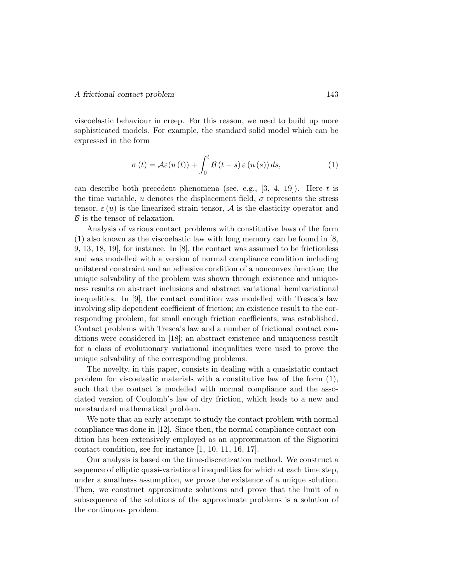viscoelastic behaviour in creep. For this reason, we need to build up more sophisticated models. For example, the standard solid model which can be expressed in the form

$$
\sigma(t) = \mathcal{A}\varepsilon(u(t)) + \int_0^t \mathcal{B}(t-s)\,\varepsilon(u(s))\,ds,\tag{1}
$$

can describe both precedent phenomena (see, e.g.,  $[3, 4, 19]$ ). Here t is the time variable, u denotes the displacement field,  $\sigma$  represents the stress tensor,  $\varepsilon(u)$  is the linearized strain tensor, A is the elasticity operator and  $\beta$  is the tensor of relaxation.

Analysis of various contact problems with constitutive laws of the form (1) also known as the viscoelastic law with long memory can be found in [8, 9, 13, 18, 19], for instance. In [8], the contact was assumed to be frictionless and was modelled with a version of normal compliance condition including unilateral constraint and an adhesive condition of a nonconvex function; the unique solvability of the problem was shown through existence and uniqueness results on abstract inclusions and abstract variational–hemivariational inequalities. In [9], the contact condition was modelled with Tresca's law involving slip dependent coefficient of friction; an existence result to the corresponding problem, for small enough friction coefficients, was established. Contact problems with Tresca's law and a number of frictional contact conditions were considered in [18]; an abstract existence and uniqueness result for a class of evolutionary variational inequalities were used to prove the unique solvability of the corresponding problems.

The novelty, in this paper, consists in dealing with a quasistatic contact problem for viscoelastic materials with a constitutive law of the form (1), such that the contact is modelled with normal compliance and the associated version of Coulomb's law of dry friction, which leads to a new and nonstardard mathematical problem.

We note that an early attempt to study the contact problem with normal compliance was done in [12]. Since then, the normal compliance contact condition has been extensively employed as an approximation of the Signorini contact condition, see for instance [1, 10, 11, 16, 17].

Our analysis is based on the time-discretization method. We construct a sequence of elliptic quasi-variational inequalities for which at each time step, under a smallness assumption, we prove the existence of a unique solution. Then, we construct approximate solutions and prove that the limit of a subsequence of the solutions of the approximate problems is a solution of the continuous problem.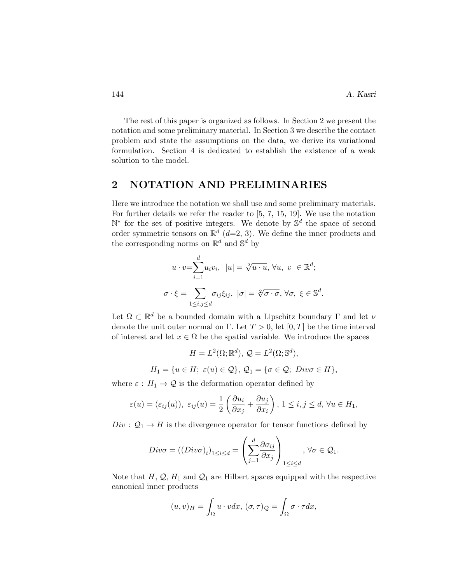The rest of this paper is organized as follows. In Section 2 we present the notation and some preliminary material. In Section 3 we describe the contact problem and state the assumptions on the data, we derive its variational formulation. Section 4 is dedicated to establish the existence of a weak solution to the model.

## 2 NOTATION AND PRELIMINARIES

Here we introduce the notation we shall use and some preliminary materials. For further details we refer the reader to [5, 7, 15, 19]. We use the notation N<sup>\*</sup> for the set of positive integers. We denote by S<sup>d</sup> the space of second order symmetric tensors on  $\mathbb{R}^d$  (d=2, 3). We define the inner products and the corresponding norms on  $\mathbb{R}^d$  and  $\mathbb{S}^d$  by

$$
u \cdot v = \sum_{i=1}^{d} u_i v_i, \ |u| = \sqrt[2]{u \cdot u}, \ \forall u, \ v \in \mathbb{R}^d;
$$

$$
\sigma \cdot \xi = \sum_{1 \le i,j \le d} \sigma_{ij} \xi_{ij}, \ |\sigma| = \sqrt[2]{\sigma \cdot \sigma}, \ \forall \sigma, \ \xi \in \mathbb{S}^d.
$$

Let  $\Omega \subset \mathbb{R}^d$  be a bounded domain with a Lipschitz boundary  $\Gamma$  and let  $\nu$ denote the unit outer normal on Γ. Let  $T > 0$ , let  $[0, T]$  be the time interval of interest and let  $x \in \overline{\Omega}$  be the spatial variable. We introduce the spaces

$$
H = L^{2}(\Omega; \mathbb{R}^{d}), \ Q = L^{2}(\Omega; \mathbb{S}^{d}),
$$
  

$$
H_{1} = \{u \in H; \ \varepsilon(u) \in \mathcal{Q}\}, \ Q_{1} = \{\sigma \in \mathcal{Q}; \ Div \sigma \in H\},\
$$

where  $\varepsilon$  :  $H_1 \to \mathcal{Q}$  is the deformation operator defined by

$$
\varepsilon(u)=(\varepsilon_{ij}(u)),\ \varepsilon_{ij}(u)=\frac{1}{2}\left(\frac{\partial u_i}{\partial x_j}+\frac{\partial u_j}{\partial x_i}\right),\ 1\leq i,j\leq d,\ \forall u\in H_1,
$$

 $Div: \mathcal{Q}_1 \to H$  is the divergence operator for tensor functions defined by

$$
Div\sigma = ((Div\sigma)_i)_{1 \le i \le d} = \left(\sum_{j=1}^d \frac{\partial \sigma_{ij}}{\partial x_j}\right)_{1 \le i \le d}, \forall \sigma \in \mathcal{Q}_1.
$$

Note that  $H, \mathcal{Q}, H_1$  and  $\mathcal{Q}_1$  are Hilbert spaces equipped with the respective canonical inner products

$$
(u,v)_H = \int_{\Omega} u \cdot v dx, \, (\sigma, \tau)_{\mathcal{Q}} = \int_{\Omega} \sigma \cdot \tau dx,
$$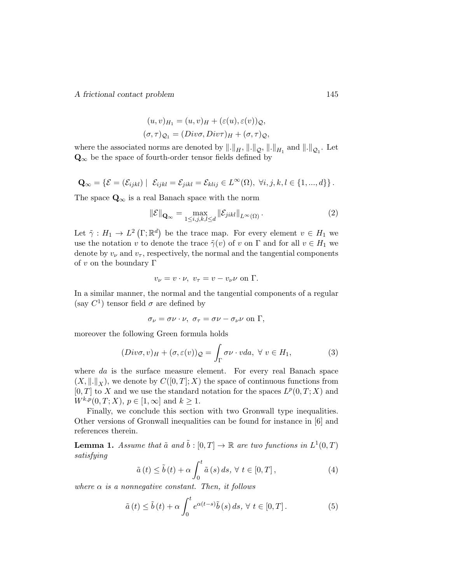$$
(u, v)_{H_1} = (u, v)_{H} + (\varepsilon(u), \varepsilon(v))_{\mathcal{Q}},
$$
  

$$
(\sigma, \tau)_{\mathcal{Q}_1} = (Div\sigma, Div\tau)_{H} + (\sigma, \tau)_{\mathcal{Q}},
$$

where the associated norms are denoted by  $\|.\|_H$ ,  $\|.\|_{\mathcal{Q}}$ ,  $\|.\|_{H_1}$  and  $\|.\|_{\mathcal{Q}_1}$ . Let  $\mathbf{Q}_{\infty}$  be the space of fourth-order tensor fields defined by

$$
\mathbf{Q}_{\infty} = \{ \mathcal{E} = (\mathcal{E}_{ijkl}) \mid \mathcal{E}_{ijkl} = \mathcal{E}_{jikl} = \mathcal{E}_{klij} \in L^{\infty}(\Omega), \ \forall i, j, k, l \in \{1, ..., d\} \}.
$$

The space  $\mathbf{Q}_{\infty}$  is a real Banach space with the norm

$$
\|\mathcal{E}\|_{\mathbf{Q}_{\infty}} = \max_{1 \le i,j,k,l \le d} \|\mathcal{E}_{jikl}\|_{L^{\infty}(\Omega)}.
$$
 (2)

Let  $\tilde{\gamma}: H_1 \to L^2(\Gamma; \mathbb{R}^d)$  be the trace map. For every element  $v \in H_1$  we use the notation v to denote the trace  $\tilde{\gamma}(v)$  of v on  $\Gamma$  and for all  $v \in H_1$  we denote by  $v_{\nu}$  and  $v_{\tau}$ , respectively, the normal and the tangential components of v on the boundary  $\Gamma$ 

$$
v_{\nu} = v \cdot \nu, \ v_{\tau} = v - v_{\nu} \nu \text{ on } \Gamma.
$$

In a similar manner, the normal and the tangential components of a regular (say  $C^1$ ) tensor field  $\sigma$  are defined by

$$
\sigma_{\nu} = \sigma \nu \cdot \nu, \ \sigma_{\tau} = \sigma \nu - \sigma_{\nu} \nu \text{ on } \Gamma,
$$

moreover the following Green formula holds

$$
(Div\sigma, v)_H + (\sigma, \varepsilon(v))_{\mathcal{Q}} = \int_{\Gamma} \sigma \nu \cdot v da, \ \forall \ v \in H_1,\tag{3}
$$

where da is the surface measure element. For every real Banach space  $(X, \|\cdot\|_X)$ , we denote by  $C([0, T]; X)$  the space of continuous functions from  $[0, T]$  to X and we use the standard notation for the spaces  $L^p(0, T; X)$  and  $W^{k,p}(0,T;X), p \in [1,\infty] \text{ and } k \geq 1.$ 

Finally, we conclude this section with two Gronwall type inequalities. Other versions of Gronwall inequalities can be found for instance in [6] and references therein.

**Lemma 1.** Assume that  $\tilde{a}$  and  $\tilde{b}$  :  $[0,T] \to \mathbb{R}$  are two functions in  $L^1(0,T)$ satisfying

$$
\tilde{a}(t) \le \tilde{b}(t) + \alpha \int_0^t \tilde{a}(s) ds, \forall t \in [0, T], \qquad (4)
$$

where  $\alpha$  is a nonnegative constant. Then, it follows

$$
\tilde{a}(t) \le \tilde{b}(t) + \alpha \int_0^t e^{\alpha(t-s)} \tilde{b}(s) ds, \forall t \in [0, T].
$$
 (5)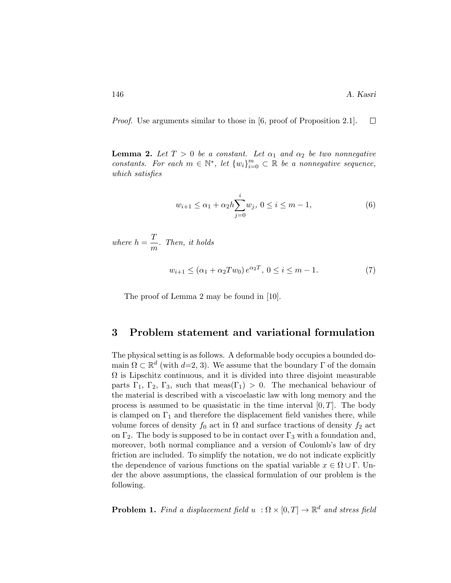Proof. Use arguments similar to those in [6, proof of Proposition 2.1].  $\Box$ 

**Lemma 2.** Let  $T > 0$  be a constant. Let  $\alpha_1$  and  $\alpha_2$  be two nonnegative constants. For each  $m \in \mathbb{N}^*$ , let  $\{w_i\}_{i=0}^m \subset \mathbb{R}$  be a nonnegative sequence, which satisfies

$$
w_{i+1} \le \alpha_1 + \alpha_2 h \sum_{j=0}^{i} w_j, \ 0 \le i \le m-1,
$$
\n(6)

where  $h = \frac{T}{A}$  $\frac{1}{m}$ . Then, it holds

$$
w_{i+1} \le (\alpha_1 + \alpha_2 Tw_0) e^{\alpha_2 T}, \ 0 \le i \le m - 1. \tag{7}
$$

The proof of Lemma 2 may be found in [10].

# 3 Problem statement and variational formulation

The physical setting is as follows. A deformable body occupies a bounded domain  $\Omega \subset \mathbb{R}^d$  (with  $d=2, 3$ ). We assume that the boundary  $\Gamma$  of the domain  $\Omega$  is Lipschitz continuous, and it is divided into three disjoint measurable parts  $\Gamma_1$ ,  $\Gamma_2$ ,  $\Gamma_3$ , such that meas( $\Gamma_1$ ) > 0. The mechanical behaviour of the material is described with a viscoelastic law with long memory and the process is assumed to be quasistatic in the time interval  $[0, T]$ . The body is clamped on  $\Gamma_1$  and therefore the displacement field vanishes there, while volume forces of density  $f_0$  act in  $\Omega$  and surface tractions of density  $f_2$  act on  $\Gamma_2$ . The body is supposed to be in contact over  $\Gamma_3$  with a foundation and, moreover, both normal compliance and a version of Coulomb's law of dry friction are included. To simplify the notation, we do not indicate explicitly the dependence of various functions on the spatial variable  $x \in \Omega \cup \Gamma$ . Under the above assumptions, the classical formulation of our problem is the following.

**Problem 1.** Find a displacement field  $u : \Omega \times [0,T] \to \mathbb{R}^d$  and stress field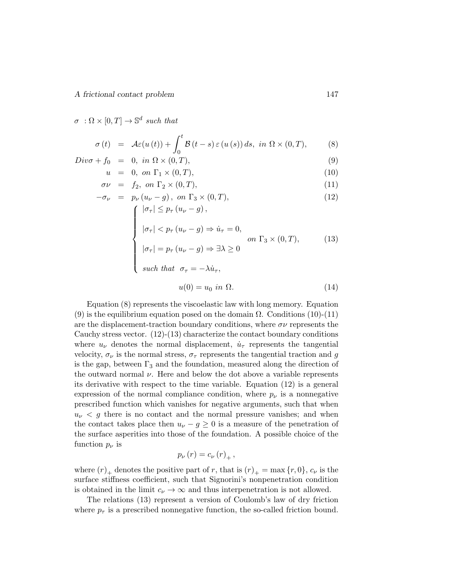$\sigma \; : \Omega \times [0,T] \to \mathbb{S}^d$  such that

$$
\sigma(t) = \mathcal{A}\varepsilon(u(t)) + \int_0^t \mathcal{B}(t-s)\,\varepsilon(u(s))\,ds, \text{ in } \Omega \times (0,T), \tag{8}
$$

$$
Div\sigma + f_0 = 0, \text{ in } \Omega \times (0, T), \tag{9}
$$

$$
u = 0, on \Gamma_1 \times (0, T), \tag{10}
$$

$$
\sigma\nu = f_2, \text{ on } \Gamma_2 \times (0, T), \tag{11}
$$

$$
-\sigma_{\nu} = p_{\nu} (u_{\nu} - g), \text{ on } \Gamma_3 \times (0, T),
$$
\n
$$
\begin{cases}\n|\sigma_{\tau}| \leq p_{\tau} (u_{\nu} - g), \\
|\sigma_{\tau}| < p_{\tau} (u_{\nu} - g) \Rightarrow \dot{u}_{\tau} = 0, \\
|\sigma_{\tau}| = p_{\tau} (u_{\nu} - g) \Rightarrow \exists \lambda \geq 0 \\
\text{such that } \sigma_{\tau} = -\lambda \dot{u}_{\tau},\n\end{cases}
$$
\n(12)

$$
u(0) = u_0 \text{ in } \Omega. \tag{14}
$$

Equation (8) represents the viscoelastic law with long memory. Equation (9) is the equilibrium equation posed on the domain  $\Omega$ . Conditions (10)-(11) are the displacement-traction boundary conditions, where  $\sigma\nu$  represents the Cauchy stress vector.  $(12)-(13)$  characterize the contact boundary conditions where  $u_{\nu}$  denotes the normal displacement,  $\dot{u}_{\tau}$  represents the tangential velocity,  $\sigma_{\nu}$  is the normal stress,  $\sigma_{\tau}$  represents the tangential traction and  $g$ is the gap, between  $\Gamma_3$  and the foundation, measured along the direction of the outward normal  $\nu$ . Here and below the dot above a variable represents its derivative with respect to the time variable. Equation (12) is a general expression of the normal compliance condition, where  $p_{\nu}$  is a nonnegative prescribed function which vanishes for negative arguments, such that when  $u<sub>\nu</sub> < u<sub>\nu</sub>$  is no contact and the normal pressure vanishes; and when the contact takes place then  $u_{\nu} - g \geq 0$  is a measure of the penetration of the surface asperities into those of the foundation. A possible choice of the function  $p_{\nu}$  is

$$
p_{\nu}(r)=c_{\nu}(r)_{+},
$$

where  $(r)_+$  denotes the positive part of r, that is  $(r)_+ = \max\{r, 0\}$ ,  $c_\nu$  is the surface stiffness coefficient, such that Signorini's nonpenetration condition is obtained in the limit  $c_{\nu} \to \infty$  and thus interpenetration is not allowed.

The relations (13) represent a version of Coulomb's law of dry friction where  $p_{\tau}$  is a prescribed nonnegative function, the so-called friction bound.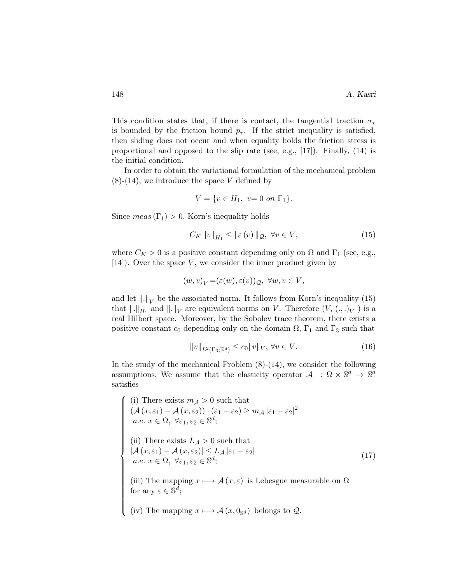This condition states that, if there is contact, the tangential traction  $\sigma_{\tau}$ is bounded by the friction bound  $p_{\tau}$ . If the strict inequality is satisfied, then sliding does not occur and when equality holds the friction stress is proportional and opposed to the slip rate (see, e.g.,  $[17]$ ). Finally,  $(14)$  is the initial condition.

In order to obtain the variational formulation of the mechanical problem  $(8)-(14)$ , we introduce the space V defined by

$$
V = \{ v \in H_1, \ v = 0 \text{ on } \Gamma_1 \}.
$$

Since  $meas(\Gamma_1) > 0$ , Korn's inequality holds

$$
C_K \|v\|_{H_1} \le \|\varepsilon(v)\|_{\mathcal{Q}}, \ \forall v \in V,\tag{15}
$$

where  $C_K > 0$  is a positive constant depending only on  $\Omega$  and  $\Gamma_1$  (see, e.g.,  $[14]$ . Over the space V, we consider the inner product given by

$$
(w,v)_V = (\varepsilon(w), \varepsilon(v))_{\mathcal{Q}}, \ \forall w, v \in V,
$$

and let  $\|.\|_V$  be the associated norm. It follows from Korn's inequality (15) that  $\|.\|_{H_1}$  and  $\|.\|_V$  are equivalent norms on V. Therefore  $(V, (.,.)_V)$  is a real Hilbert space. Moreover, by the Sobolev trace theorem, there exists a positive constant  $c_0$  depending only on the domain  $\Omega$ ,  $\Gamma_1$  and  $\Gamma_3$  such that

$$
||v||_{L^{2}(\Gamma_{3};\mathbb{R}^{d})} \leq c_{0}||v||_{V}, \forall v \in V.
$$
\n(16)

In the study of the mechanical Problem  $(8)-(14)$ , we consider the following assumptions. We assume that the elasticity operator  $A : \Omega \times \mathbb{S}^d \to \mathbb{S}^d$ satisfies

(i) There exists  $m_A > 0$  such that  $\begin{array}{c} \hline \end{array}$  $\begin{array}{c} \begin{array}{c} \begin{array}{c} \begin{array}{c} \end{array} \\ \end{array} \end{array} \end{array}$  $(\mathcal{A} (x,\varepsilon_1) - \mathcal{A} (x,\varepsilon_2)) \cdot (\varepsilon_1 - \varepsilon_2) \ge m_{\mathcal{A}} |\varepsilon_1 - \varepsilon_2|^2$  $a.e. \ x \in \Omega, \ \forall \varepsilon_1, \varepsilon_2 \in \mathbb{S}^d;$ (ii) There exists  $L_A > 0$  such that  $|\mathcal{A} (x, \varepsilon_1) - \mathcal{A} (x, \varepsilon_2)| \leq L_{\mathcal{A}} |\varepsilon_1 - \varepsilon_2|$  $a.e. \ x \in \Omega, \ \forall \varepsilon_1, \varepsilon_2 \in \mathbb{S}^d;$ (iii) The mapping  $x \mapsto \mathcal{A}(x, \varepsilon)$  is Lebesgue measurable on  $\Omega$ for any  $\varepsilon \in \mathbb{S}^d$ ; (iv) The mapping  $x \mapsto \mathcal{A}(x, 0_{\mathbb{S}^d})$  belongs to  $\mathcal{Q}$ . (17)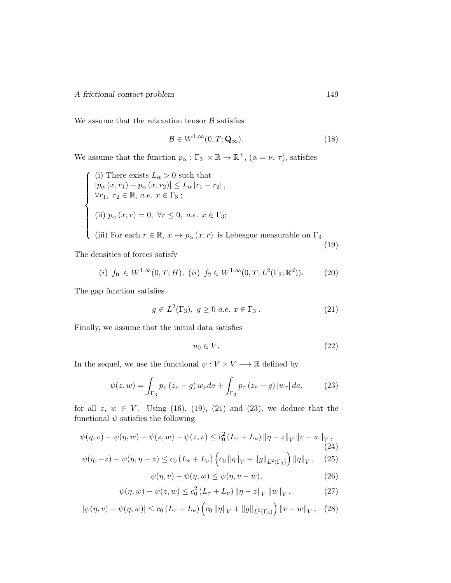$\sqrt{ }$ 

 $\int$ 

 $\begin{array}{c} \end{array}$ 

We assume that the relaxation tensor  $\beta$  satisfies

$$
\mathcal{B} \in W^{1,\infty}(0,T;\mathbf{Q}_{\infty}).\tag{18}
$$

We assume that the function  $p_{\alpha} : \Gamma_3 \times \mathbb{R} \to \mathbb{R}^+$ ,  $(\alpha = \nu, \tau)$ , satisfies

\n- (i) There exists 
$$
L_{\alpha} > 0
$$
 such that  $|p_{\alpha}(x, r_1) - p_{\alpha}(x, r_2)| \leq L_{\alpha} |r_1 - r_2|$ ,  $\forall r_1, r_2 \in \mathbb{R}, a.e. x \in \Gamma_3$ ;
\n- (ii)  $p_{\alpha}(x, r) = 0, \forall r \leq 0, a.e. x \in \Gamma_3$ ;
\n- (iii) For each  $r \in \mathbb{R}, x \mapsto p_{\alpha}(x, r)$  is Lebesgue measurable on  $\Gamma_3$ .
\n- (19)
\n

The densities of forces satisfy

$$
(i) f_0 \in W^{1,\infty}(0,T;H), (ii) f_2 \in W^{1,\infty}(0,T;L^2(\Gamma_2;\mathbb{R}^d)).
$$
 (20)

The gap function satisfies

$$
g \in L^{2}(\Gamma_{3}), \ g \ge 0 \ a.e. \ x \in \Gamma_{3}. \tag{21}
$$

Finally, we assume that the initial data satisfies

$$
u_0 \in V. \tag{22}
$$

In the sequel, we use the functional  $\psi: V \times V \longrightarrow \mathbb{R}$  defined by

$$
\psi(z, w) = \int_{\Gamma_3} p_{\nu} (z_{\nu} - g) w_{\nu} da + \int_{\Gamma_3} p_{\tau} (z_{\nu} - g) |w_{\tau}| da, \tag{23}
$$

for all  $z, w \in V$ . Using (16), (19), (21) and (23), we deduce that the functional  $\psi$  satisfies the following

$$
\psi(\eta, v) - \psi(\eta, w) + \psi(z, w) - \psi(z, v) \le c_0^2 (L_\tau + L_\nu) \|\eta - z\|_V \|\nu - w\|_V,
$$
\n(24)  
\n
$$
\psi(\eta, -z) - \psi(\eta, \eta - z) \le c_0 (L_\tau + L_\nu) \left( c_0 \|\eta\|_V + \|g\|_{L^2(\Gamma_3)} \right) \|\eta\|_V, \quad (25)
$$

$$
\psi(\eta, v) - \psi(\eta, w) \le \psi(\eta, v - w),\tag{26}
$$

$$
\psi(\eta, w) - \psi(z, w) \le c_0^2 \left( L_\tau + L_\nu \right) \left\| \eta - z \right\|_V \left\| w \right\|_V, \tag{27}
$$

$$
|\psi(\eta, v) - \psi(\eta, w)| \le c_0 (L_\tau + L_\nu) \left( c_0 \|\eta\|_V + \|g\|_{L^2(\Gamma_3)} \right) \|v - w\|_V, \quad (28)
$$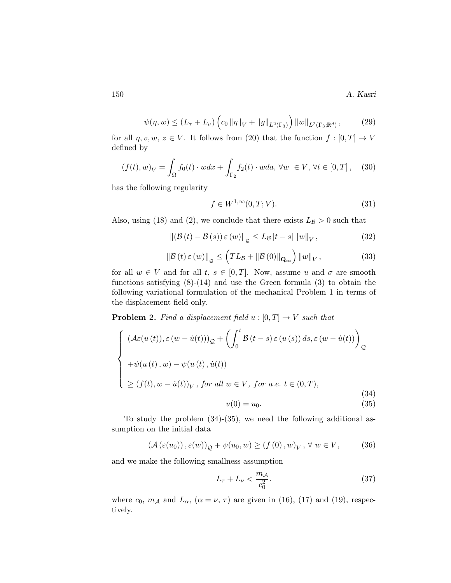150 A. Kasri

$$
\psi(\eta, w) \le (L_{\tau} + L_{\nu}) \left( c_0 \|\eta\|_{V} + \|g\|_{L^2(\Gamma_3)} \right) \|w\|_{L^2(\Gamma_3; \mathbb{R}^d)}, \tag{29}
$$

for all  $\eta, v, w, z \in V$ . It follows from (20) that the function  $f : [0, T] \to V$ defined by

$$
(f(t), w)_V = \int_{\Omega} f_0(t) \cdot w dx + \int_{\Gamma_2} f_2(t) \cdot w da, \forall w \in V, \forall t \in [0, T], \quad (30)
$$

has the following regularity

$$
f \in W^{1,\infty}(0,T;V). \tag{31}
$$

Also, using (18) and (2), we conclude that there exists  $L_{\mathcal{B}} > 0$  such that

$$
\left\| \left( \mathcal{B}\left( t\right) - \mathcal{B}\left( s\right) \right) \varepsilon \left( w\right) \right\|_{\mathcal{Q}} \le L_{\mathcal{B}} \left| t-s\right| \left\| w\right\|_{V},\tag{32}
$$

$$
\left\|\mathcal{B}\left(t\right)\varepsilon\left(w\right)\right\|_{\mathcal{Q}} \leq \left(TL_{\mathcal{B}} + \left\|\mathcal{B}\left(0\right)\right\|_{\mathbf{Q}_{\infty}}\right) \left\|w\right\|_{V},\tag{33}
$$

for all  $w \in V$  and for all  $t, s \in [0,T]$ . Now, assume u and  $\sigma$  are smooth functions satisfying  $(8)-(14)$  and use the Green formula  $(3)$  to obtain the following variational formulation of the mechanical Problem 1 in terms of the displacement field only.

**Problem 2.** Find a displacement field  $u : [0, T] \rightarrow V$  such that

$$
\begin{cases}\n(\mathcal{A}\varepsilon(u(t)), \varepsilon(w - \dot{u}(t)))_{\mathcal{Q}} + \left(\int_0^t \mathcal{B}(t - s) \varepsilon(u(s)) ds, \varepsilon(w - \dot{u}(t))\right)_{\mathcal{Q}} \\
+\psi(u(t), w) - \psi(u(t), \dot{u}(t)) \\
\geq (f(t), w - \dot{u}(t))_V, \text{ for all } w \in V, \text{ for a.e. } t \in (0, T), \\
u(0) = u_0.\n\end{cases}
$$
\n(34)

To study the problem (34)-(35), we need the following additional assumption on the initial data

$$
(\mathcal{A}(\varepsilon(u_0)), \varepsilon(w))_{\mathcal{Q}} + \psi(u_0, w) \ge (f(0), w)_V, \forall w \in V,
$$
 (36)

and we make the following smallness assumption

$$
L_{\tau} + L_{\nu} < \frac{m_{\mathcal{A}}}{c_0^2}.\tag{37}
$$

where  $c_0$ ,  $m_A$  and  $L_\alpha$ ,  $(\alpha = \nu, \tau)$  are given in (16), (17) and (19), respectively.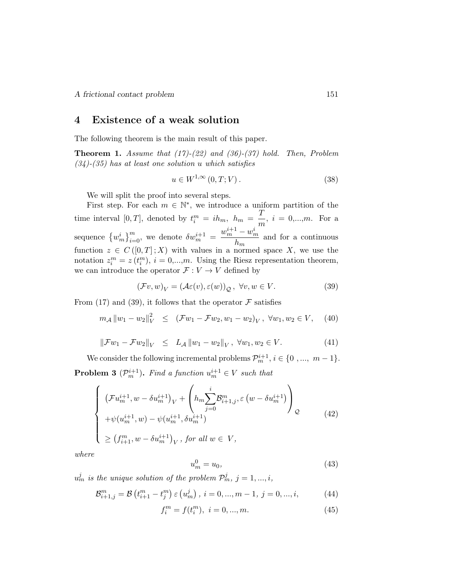# 4 Existence of a weak solution

The following theorem is the main result of this paper.

**Theorem 1.** Assume that  $(17)-(22)$  and  $(36)-(37)$  hold. Then, Problem  $(34)-(35)$  has at least one solution u which satisfies

$$
u \in W^{1,\infty}(0,T;V). \tag{38}
$$

We will split the proof into several steps.

First step. For each  $m \in \mathbb{N}^*$ , we introduce a uniform partition of the time interval [0, T], denoted by  $t_i^m = ih_m$ ,  $h_m = \frac{T}{m}$  $\frac{1}{m}$ ,  $i = 0,...,m$ . For a sequence  ${w_m^i}_{i=0}^m$ , we denote  $\delta w_m^{i+1} = \frac{w_m^{i+1} - w_m^i}{h_m}$  $\frac{\omega_m}{h_m}$  and for a continuous function  $z \in C([0,T];X)$  with values in a normed space X, we use the notation  $z_i^m = z(t_i^m)$ ,  $i = 0,...,m$ . Using the Riesz representation theorem, we can introduce the operator  $\mathcal{F}:V\rightarrow V$  defined by

$$
(\mathcal{F}v, w)_V = (\mathcal{A}\varepsilon(v), \varepsilon(w))_{\mathcal{Q}}, \ \forall v, w \in V.
$$
 (39)

From (17) and (39), it follows that the operator  $\mathcal F$  satisfies

$$
m_{\mathcal{A}} ||w_1 - w_2||_V^2 \leq (\mathcal{F}w_1 - \mathcal{F}w_2, w_1 - w_2)_V, \ \forall w_1, w_2 \in V,
$$
 (40)

$$
\|\mathcal{F}w_1 - \mathcal{F}w_2\|_V \le L_{\mathcal{A}} \|w_1 - w_2\|_V, \ \forall w_1, w_2 \in V. \tag{41}
$$

We consider the following incremental problems  $\mathcal{P}_m^{i+1}, i \in \{0, ..., m-1\}.$ **Problem 3** ( $\mathcal{P}_m^{i+1}$ ). Find a function  $u_m^{i+1} \in V$  such that

$$
\begin{cases}\n\left(\mathcal{F}u_m^{i+1}, w - \delta u_m^{i+1}\right)_V + \left(h_m \sum_{j=0}^i \mathcal{B}_{i+1,j}^m, \varepsilon\left(w - \delta u_m^{i+1}\right)\right)_Q \\
+\psi(u_m^{i+1}, w) - \psi(u_m^{i+1}, \delta u_m^{i+1}) \\
\ge \left(f_{i+1}^m, w - \delta u_m^{i+1}\right)_V, \text{ for all } w \in V,\n\end{cases} \tag{42}
$$

where

$$
u_m^0 = u_0,\tag{43}
$$

 $u_m^j$  is the unique solution of the problem  $\mathcal{P}_m^j$ ,  $j = 1, ..., i$ ,

$$
\mathcal{B}_{i+1,j}^m = \mathcal{B}\left(t_{i+1}^m - t_j^m\right) \varepsilon\left(u_m^j\right), \ i = 0, ..., m-1, \ j = 0, ..., i,
$$
 (44)

$$
f_i^m = f(t_i^m), \ i = 0, ..., m.
$$
 (45)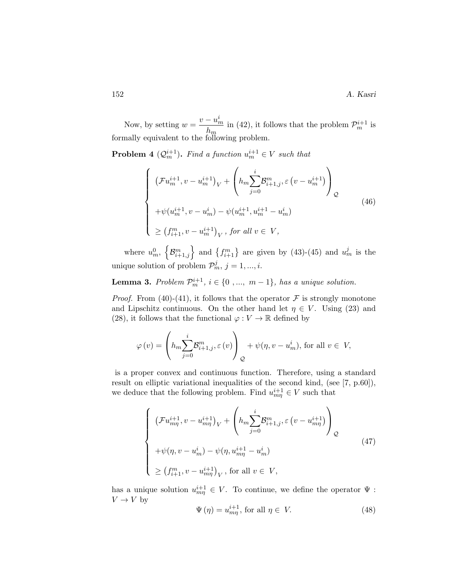Now, by setting  $w = \frac{v - u_m^i}{l}$  $\frac{1-a_m}{h_m}$  in (42), it follows that the problem  $\mathcal{P}_m^{i+1}$  is formally equivalent to the following problem.

**Problem 4** ( $Q_m^{i+1}$ ). Find a function  $u_m^{i+1} \in V$  such that

$$
\begin{cases}\n\left(\mathcal{F}u_m^{i+1}, v - u_m^{i+1}\right)_V + \left(h_m \sum_{j=0}^i \mathcal{B}_{i+1,j}^m, \varepsilon\left(v - u_m^{i+1}\right)\right)_\mathcal{Q} \\
+\psi(u_m^{i+1}, v - u_m^i) - \psi(u_m^{i+1}, u_m^{i+1} - u_m^i) \\
\geq \left(f_{i+1}^m, v - u_m^{i+1}\right)_V, \text{ for all } v \in V,\n\end{cases} \tag{46}
$$

where  $u_m^0$ ,  $\left\{\mathcal{B}_{i+1,j}^m\right\}$  and  $\left\{f_{i+1}^m\right\}$  are given by (43)-(45) and  $u_m^j$  is the unique solution of problem  $\mathcal{P}_m^j$ ,  $j = 1, ..., i$ .

**Lemma 3.** Problem  $\mathcal{P}_m^{i+1}$ ,  $i \in \{0, ..., m-1\}$ , has a unique solution.

*Proof.* From (40)-(41), it follows that the operator  $\mathcal F$  is strongly monotone and Lipschitz continuous. On the other hand let  $\eta \in V$ . Using (23) and (28), it follows that the functional  $\varphi: V \to \mathbb{R}$  defined by

$$
\varphi(v) = \left( h_m \sum_{j=0}^i \mathcal{B}_{i+1,j}^m, \varepsilon(v) \right)_{\mathcal{Q}} + \psi(\eta, v - u_m^i), \text{ for all } v \in V,
$$

is a proper convex and continuous function. Therefore, using a standard result on elliptic variational inequalities of the second kind, (see [7, p.60]), we deduce that the following problem. Find  $u_{m\eta}^{i+1} \in V$  such that

$$
\begin{cases}\n\left(\mathcal{F}u_{m\eta}^{i+1}, v - u_{m\eta}^{i+1}\right)_V + \left(h_m \sum_{j=0}^i \mathcal{B}_{i+1,j}^m, \varepsilon\left(v - u_{m\eta}^{i+1}\right)\right)_Q \\
+\psi(\eta, v - u_m^i) - \psi(\eta, u_{m\eta}^{i+1} - u_m^i) \\
\geq \left(f_{i+1}^m, v - u_{m\eta}^{i+1}\right)_V, \text{ for all } v \in V,\n\end{cases} \tag{47}
$$

has a unique solution  $u_{mn}^{i+1} \in V$ . To continue, we define the operator  $\Psi$ :  $V \to V$  by

$$
\Psi(\eta) = u_{m\eta}^{i+1}, \text{ for all } \eta \in V. \tag{48}
$$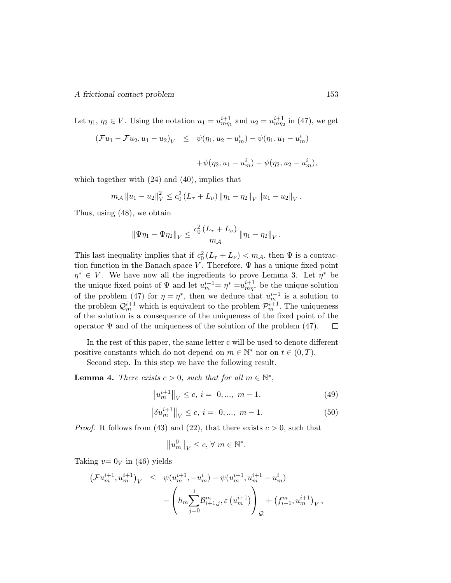Let  $\eta_1, \eta_2 \in V$ . Using the notation  $u_1 = u^{i+1}_{m\eta_1}$  and  $u_2 = u^{i+1}_{m\eta_2}$  in (47), we get

$$
(\mathcal{F}u_1 - \mathcal{F}u_2, u_1 - u_2)_V \leq \psi(\eta_1, u_2 - u_m^i) - \psi(\eta_1, u_1 - u_m^i)
$$

$$
+\psi(\eta_2, u_1 - u_m^i) - \psi(\eta_2, u_2 - u_m^i),
$$

which together with (24) and (40), implies that

$$
m_{\mathcal{A}} \|u_1 - u_2\|_V^2 \leq c_0^2 \left(L_{\tau} + L_{\nu}\right) \|\eta_1 - \eta_2\|_V \|u_1 - u_2\|_V.
$$

Thus, using (48), we obtain

$$
\|\Psi\eta_1 - \Psi\eta_2\|_V \leq \frac{c_0^2(L_\tau + L_\nu)}{m_{\mathcal{A}}} \|\eta_1 - \eta_2\|_V.
$$

This last inequality implies that if  $c_0^2(L_\tau + L_\nu) < m_{\mathcal{A}}$ , then  $\Psi$  is a contraction function in the Banach space V. Therefore,  $\Psi$  has a unique fixed point  $\eta^* \in V$ . We have now all the ingredients to prove Lemma 3. Let  $\eta^*$  be the unique fixed point of  $\Psi$  and let  $u_m^{i+1} = \eta^* = u_{mn}^{i+1}$  be the unique solution of the problem (47) for  $\eta = \eta^*$ , then we deduce that  $u_m^{i+1}$  is a solution to the problem  $\mathcal{Q}_m^{i+1}$  which is equivalent to the problem  $\mathcal{P}_m^{i+1}$ . The uniqueness of the solution is a consequence of the uniqueness of the fixed point of the operator  $\Psi$  and of the uniqueness of the solution of the problem (47).  $\Box$ 

In the rest of this paper, the same letter c will be used to denote different positive constants which do not depend on  $m \in \mathbb{N}^*$  nor on  $t \in (0, T)$ .

Second step. In this step we have the following result.

**Lemma 4.** There exists  $c > 0$ , such that for all  $m \in \mathbb{N}^*$ ,

$$
||u_m^{i+1}||_V \le c, i = 0, ..., m - 1.
$$
 (49)

$$
\left\|\delta u_m^{i+1}\right\|_V \le c, \, i = 0, \dots, \, m-1. \tag{50}
$$

*Proof.* It follows from (43) and (22), that there exists  $c > 0$ , such that

$$
||u_m^0||_V \le c, \forall m \in \mathbb{N}^*.
$$

Taking  $v=0_V$  in (46) yields

$$
\begin{array}{rcl} \left( \mathcal{F} u_m^{i+1} , u_m^{i+1} \right)_V & \leq & \psi(u_m^{i+1}, -u_m^i) - \psi(u_m^{i+1}, u_m^{i+1} - u_m^i) \\ & & \qquad \qquad - \left( h_m \sum_{j=0}^i \mathcal{B}_{i+1,j}^m , \varepsilon \left( u_m^{i+1} \right) \right)_\mathcal{Q} + \left( f_{i+1}^m , u_m^{i+1} \right)_V, \end{array}
$$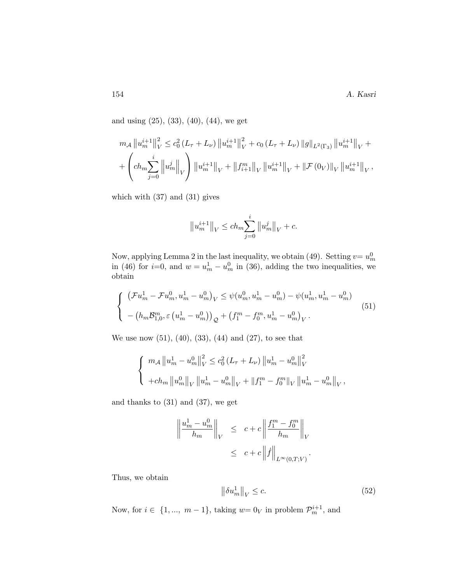and using (25), (33), (40), (44), we get

$$
m_{\mathcal{A}} \|u_m^{i+1}\|_V^2 \leq c_0^2 (L_{\tau} + L_{\nu}) \|u_m^{i+1}\|_V^2 + c_0 (L_{\tau} + L_{\nu}) \|g\|_{L^2(\Gamma_3)} \|u_m^{i+1}\|_V +
$$
  
+ 
$$
\left( ch_m \sum_{j=0}^i \|u_m^j\|_V \right) \|u_m^{i+1}\|_V + \|f_{i+1}^m\|_V \|u_m^{i+1}\|_V + \|F(0_V)\|_V \|u_m^{i+1}\|_V,
$$

which with  $(37)$  and  $(31)$  gives

$$
\big\|u_m^{i+1}\big\|_V\leq ch_m\!\sum_{j=0}^i\big\|u_m^j\big\|_V+c.
$$

Now, applying Lemma 2 in the last inequality, we obtain (49). Setting  $v=u_m^0$ in (46) for  $i=0$ , and  $w=u_m^1-u_m^0$  in (36), adding the two inequalities, we obtain

$$
\begin{cases}\n\left(\mathcal{F}u_m^1 - \mathcal{F}u_m^0, u_m^1 - u_m^0\right)_V \leq \psi(u_m^0, u_m^1 - u_m^0) - \psi(u_m^1, u_m^1 - u_m^0) \\
-\left(h_m \mathcal{B}_{1,0}^m, \varepsilon\left(u_m^1 - u_m^0\right)\right)_\mathcal{Q} + \left(f_1^m - f_0^m, u_m^1 - u_m^0\right)_V.\n\end{cases} \tag{51}
$$

We use now  $(51)$ ,  $(40)$ ,  $(33)$ ,  $(44)$  and  $(27)$ , to see that

$$
\begin{cases} m_{\mathcal{A}} \|u_m^1 - u_m^0\|_V^2 \leq c_0^2 (L_{\tau} + L_{\nu}) \|u_m^1 - u_m^0\|_V^2 \\ + ch_m \|u_m^0\|_V \|u_m^1 - u_m^0\|_V + \|f_1^m - f_0^m\|_V \|u_m^1 - u_m^0\|_V, \end{cases}
$$

and thanks to  $(31)$  and  $(37)$ , we get

$$
\left\| \frac{u_m^1 - u_m^0}{h_m} \right\|_V \leq c + c \left\| \frac{f_1^m - f_0^m}{h_m} \right\|_V
$$
  

$$
\leq c + c \left\| f \right\|_{L^{\infty}(0,T;V)}.
$$

Thus, we obtain

$$
\left\|\delta u_m^1\right\|_V \le c.\tag{52}
$$

Now, for  $i \in \{1, ..., m-1\}$ , taking  $w = 0<sub>V</sub>$  in problem  $\mathcal{P}_m^{i+1}$ , and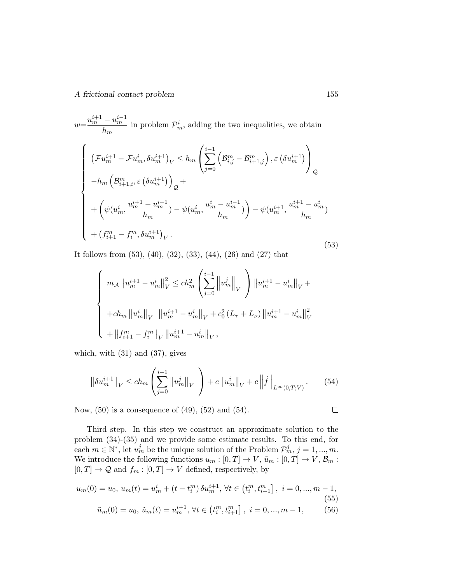$w = \frac{u_m^{i+1} - u_m^{i-1}}{l}$  $\frac{-a_m}{h_m}$  in problem  $\mathcal{P}_m^i$ , adding the two inequalities, we obtain

$$
\begin{cases}\n\left(\mathcal{F}u_{m}^{i+1} - \mathcal{F}u_{m}^{i}, \delta u_{m}^{i+1}\right)_{V} \leq h_{m}\left(\sum_{j=0}^{i-1}\left(\mathcal{B}_{i,j}^{m} - \mathcal{B}_{i+1,j}^{m}\right), \varepsilon\left(\delta u_{m}^{i+1}\right)\right)_{Q} \\
-h_{m}\left(\mathcal{B}_{i+1,i}^{m}, \varepsilon\left(\delta u_{m}^{i+1}\right)\right)_{Q} + \\
+\left(\psi(u_{m}^{i}, \frac{u_{m}^{i+1} - u_{m}^{i-1}}{h_{m}}) - \psi(u_{m}^{i}, \frac{u_{m}^{i} - u_{m}^{i-1}}{h_{m}})\right) - \psi(u_{m}^{i+1}, \frac{u_{m}^{i+1} - u_{m}^{i}}{h_{m}}) \\
+ \left(f_{i+1}^{m} - f_{i}^{m}, \delta u_{m}^{i+1}\right)_{V}.\n\end{cases} \tag{53}
$$

It follows from (53), (40), (32), (33), (44), (26) and (27) that

$$
\begin{cases}\n m_{\mathcal{A}} \| u_m^{i+1} - u_m^i \|_V^2 \leq c h_m^2 \left( \sum_{j=0}^{i-1} \left\| u_m^j \right\|_V \right) \| u_m^{i+1} - u_m^i \|_V + \\
 + c h_m \| u_m^i \|_V \| u_m^{i+1} - u_m^i \|_V + c_0^2 (L_\tau + L_\nu) \| u_m^{i+1} - u_m^i \|_V^2 \\
 + \| f_{i+1}^m - f_i^m \|_V \| u_m^{i+1} - u_m^i \|_V,\n\end{cases}
$$

which, with  $(31)$  and  $(37)$ , gives

$$
\left\|\delta u_m^{i+1}\right\|_V \le ch_m \left(\sum_{j=0}^{i-1} \left\|u_m^j\right\|_V\right) + c\left\|u_m^i\right\|_V + c\left\|f\right\|_{L^\infty(0,T;V)}.\tag{54}
$$

Now,  $(50)$  is a consequence of  $(49)$ ,  $(52)$  and  $(54)$ .

Third step. In this step we construct an approximate solution to the problem (34)-(35) and we provide some estimate results. To this end, for each  $m \in \mathbb{N}^*$ , let  $u_m^j$  be the unique solution of the Problem  $\mathcal{P}_m^j$ ,  $j = 1, ..., m$ . We introduce the following functions  $u_m : [0, T] \to V$ ,  $\tilde{u}_m : [0, T] \to V$ ,  $\mathcal{B}_m$ :  $[0, T] \rightarrow \mathcal{Q}$  and  $f_m : [0, T] \rightarrow V$  defined, respectively, by

$$
u_m(0) = u_0, u_m(t) = u_m^i + (t - t_i^m) \delta u_m^{i+1}, \forall t \in (t_i^m, t_{i+1}^m], i = 0, ..., m - 1,
$$
\n(55)\n  
\n
$$
\tilde{u}_m(0) = u_0, \tilde{u}_m(t) = u_i^{i+1} \forall t \in (t_i^m, t_{i+1}^m], i = 0, ..., m - 1
$$
\n(56)

$$
\tilde{u}_m(0) = u_0, \, \tilde{u}_m(t) = u_m^{i+1}, \, \forall t \in \left(t_i^m, t_{i+1}^m\right], \, i = 0, \dots, m-1,\tag{56}
$$

 $\Box$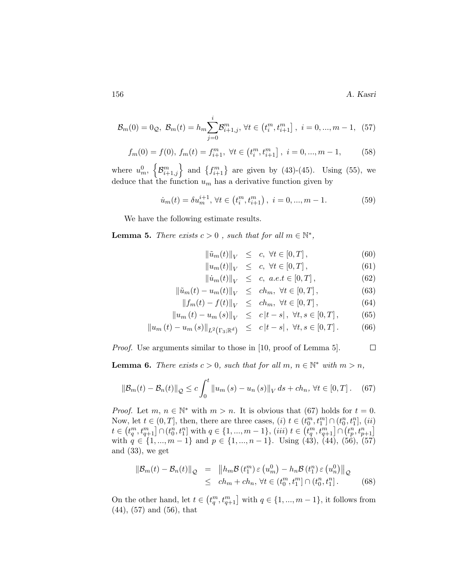156 A. Kasri

$$
\mathcal{B}_{m}(0) = 0_{\mathcal{Q}}, \ \mathcal{B}_{m}(t) = h_{m} \sum_{j=0}^{i} \mathcal{B}_{i+1,j}^{m}, \ \forall t \in (t_{i}^{m}, t_{i+1}^{m}], \ i = 0, ..., m-1, \ (57)
$$

$$
f_m(0) = f(0), \ f_m(t) = f_{i+1}^m, \ \forall t \in (t_i^m, t_{i+1}^m], \ i = 0, ..., m-1,
$$
 (58)

where  $u_m^0$ ,  $\left\{\mathcal{B}_{i+1,j}^m\right\}$  and  $\left\{f_{i+1}^m\right\}$  are given by (43)-(45). Using (55), we deduce that the function  $u_m$  has a derivative function given by

$$
\dot{u}_m(t) = \delta u_m^{i+1}, \,\forall t \in (t_i^m, t_{i+1}^m), \,\, i = 0, \dots, m-1. \tag{59}
$$

We have the following estimate results.

**Lemma 5.** There exists  $c > 0$ , such that for all  $m \in \mathbb{N}^*$ ,

 $\left\| \tilde{u}_m(t) \right\|_V \leq c, \forall t \in [0, T],$  (60)

$$
||u_m(t)||_V \le c, \forall t \in [0, T], \tag{61}
$$

$$
\left\|\dot{u}_m(t)\right\|_V \le c, \ a.e.t \in [0,T], \tag{62}
$$

$$
\|\tilde{u}_m(t) - u_m(t)\|_V \le ch_m, \ \forall t \in [0, T], \tag{63}
$$

$$
||f_m(t) - f(t)||_V \le ch_m, \forall t \in [0, T], \tag{64}
$$

$$
||u_m(t) - u_m(s)||_V \leq c|t - s|, \forall t, s \in [0, T], \tag{65}
$$

$$
\|u_m(t) - u_m(s)\|_{L^2(\Gamma_3; \mathbb{R}^d)} \leq c|t - s|, \ \forall t, s \in [0, T]. \tag{66}
$$

Proof. Use arguments similar to those in [10, proof of Lemma 5].  $\Box$ 

**Lemma 6.** There exists  $c > 0$ , such that for all  $m, n \in \mathbb{N}^*$  with  $m > n$ ,

$$
\|\mathcal{B}_m(t) - \mathcal{B}_n(t)\|_{\mathcal{Q}} \le c \int_0^t \|u_m(s) - u_n(s)\|_{V} ds + ch_n, \forall t \in [0, T]. \tag{67}
$$

*Proof.* Let  $m, n \in \mathbb{N}^*$  with  $m > n$ . It is obvious that (67) holds for  $t = 0$ . Now, let  $t \in (0, T]$ , then, there are three cases,  $(i)$   $t \in (t_0^m, t_1^m] \cap (t_0^n, t_1^n]$ ,  $(ii)$  $t \in (t_q^m, t_{q+1}^m] \cap (t_0^n, t_1^n]$  with  $q \in \{1, ..., m-1\}$ ,  $(iii)$   $t \in (t_q^m, t_{q+1}^m] \cap (t_p^n, t_{p+1}^n]$ with  $q \in \{1, ..., m-1\}$  and  $p \in \{1, ..., n-1\}$ . Using (43), (44), (56), (57) and (33), we get

$$
\|\mathcal{B}_m(t) - \mathcal{B}_n(t)\|_{\mathcal{Q}} = \left\| h_m \mathcal{B}(t_1^m) \varepsilon (u_m^0) - h_n \mathcal{B}(t_1^n) \varepsilon (u_n^0) \right\|_{\mathcal{Q}} \leq ch_m + ch_n, \forall t \in (t_0^m, t_1^m] \cap (t_0^n, t_1^n].
$$
 (68)

On the other hand, let  $t \in (t_q^m, t_{q+1}^m]$  with  $q \in \{1, ..., m-1\}$ , it follows from (44), (57) and (56), that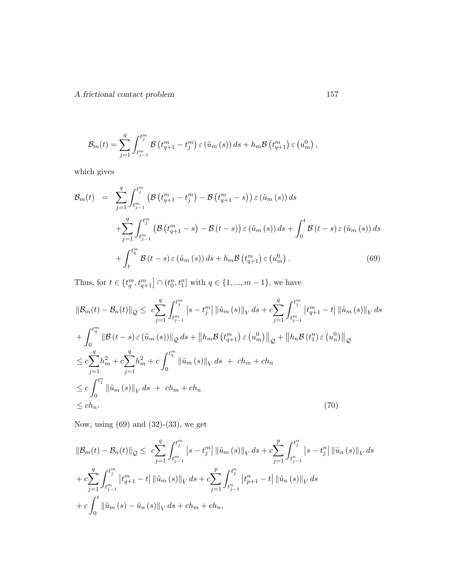$$
\mathcal{B}_{m}(t) = \sum_{j=1}^{q} \int_{t_{j-1}^{m}}^{t_{j}^{m}} \mathcal{B}\left(t_{q+1}^{m} - t_{j}^{m}\right) \varepsilon\left(\tilde{u}_{m}\left(s\right)\right) ds + h_{m} \mathcal{B}\left(t_{q+1}^{m}\right) \varepsilon\left(u_{m}^{0}\right),
$$

which gives

$$
\mathcal{B}_{m}(t) = \sum_{j=1}^{q} \int_{t_{j-1}^{m}}^{t_{j}^{m}} \left( \mathcal{B}\left(t_{q+1}^{m} - t_{j}^{m}\right) - \mathcal{B}\left(t_{q+1}^{m} - s\right) \right) \varepsilon \left(\tilde{u}_{m}\left(s\right)\right) ds
$$
  
+ 
$$
\sum_{j=1}^{q} \int_{t_{j-1}^{m}}^{t_{j}^{m}} \left( \mathcal{B}\left(t_{q+1}^{m} - s\right) - \mathcal{B}\left(t - s\right) \right) \varepsilon \left(\tilde{u}_{m}\left(s\right)\right) ds + \int_{0}^{t} \mathcal{B}\left(t - s\right) \varepsilon \left(\tilde{u}_{m}\left(s\right)\right) ds
$$
  
+ 
$$
\int_{t}^{t_{q}^{m}} \mathcal{B}\left(t - s\right) \varepsilon \left(\tilde{u}_{m}\left(s\right)\right) ds + h_{m} \mathcal{B}\left(t_{q+1}^{m}\right) \varepsilon \left(u_{m}^{0}\right).
$$
 (69)

Thus, for  $t \in (t_q^m, t_{q+1}^m] \cap (t_0^n, t_1^n]$  with  $q \in \{1, ..., m-1\}$ , we have

$$
\|\mathcal{B}_{m}(t) - \mathcal{B}_{n}(t)\|_{\mathcal{Q}} \leq c \sum_{j=1}^{q} \int_{t_{j-1}^{m}}^{t_{j}^{m}} |s - t_{j}^{m}| \|\tilde{u}_{m}(s)\|_{V} ds + c \sum_{j=1}^{q} \int_{t_{j-1}^{m}}^{t_{j}^{m}} |t_{q+1}^{m} - t| \|\tilde{u}_{m}(s)\|_{V} ds + \int_{0}^{t_{q}^{m}} \|\mathcal{B}(t-s)\,\varepsilon\,(\tilde{u}_{m}(s))\|_{\mathcal{Q}} ds + \|h_{m}\mathcal{B}(t_{q+1}^{m})\,\varepsilon\,(\mathbf{u}_{m}^{0})\|_{\mathcal{Q}} + \|h_{n}\mathcal{B}(t_{1}^{n})\,\varepsilon\,(\mathbf{u}_{n}^{0})\|_{\mathcal{Q}} \leq c \sum_{j=1}^{q} h_{m}^{2} + c \sum_{j=1}^{q} h_{m}^{2} + c \int_{0}^{t_{q}^{m}} \|\tilde{u}_{m}(s)\|_{V} ds + ch_{m} + ch_{n} \leq c \int_{0}^{t_{1}^{n}} \|\tilde{u}_{m}(s)\|_{V} ds + ch_{m} + ch_{n} \leq ch_{n}.
$$
 (70)

Now, using (69) and (32)-(33), we get

$$
\|\mathcal{B}_{m}(t) - \mathcal{B}_{n}(t)\|_{\mathcal{Q}} \leq c \sum_{j=1}^{q} \int_{t_{j-1}^{m}}^{t_{j}^{m}} \left|s - t_{j}^{m}\right| \left\|\tilde{u}_{m}(s)\right\|_{V} ds + c \sum_{j=1}^{p} \int_{t_{j-1}^{n}}^{t_{j}^{n}} \left|s - t_{j}^{n}\right| \left\|\tilde{u}_{n}(s)\right\|_{V} ds
$$
  
+ 
$$
c \sum_{j=1}^{q} \int_{t_{j-1}^{m}}^{t_{j}^{m}} \left|t_{q+1}^{m} - t\right| \left\|\tilde{u}_{m}(s)\right\|_{V} ds + c \sum_{j=1}^{p} \int_{t_{j-1}^{n}}^{t_{j}^{n}} \left|t_{p+1}^{n} - t\right| \left\|\tilde{u}_{n}(s)\right\|_{V} ds
$$
  
+ 
$$
c \int_{0}^{t} \left\|\tilde{u}_{m}(s) - \tilde{u}_{n}(s)\right\|_{V} ds + ch_{m} + ch_{n},
$$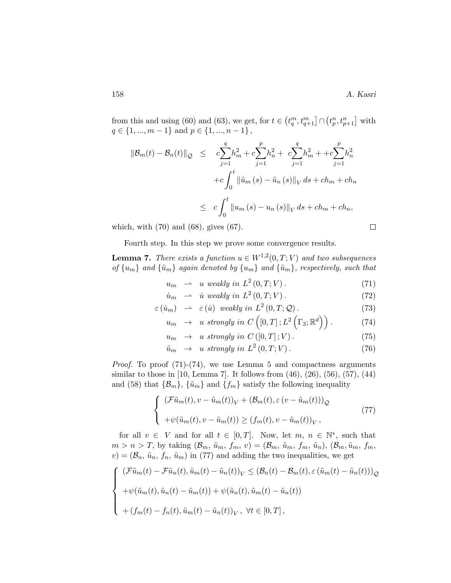$\Box$ 

from this and using (60) and (63), we get, for  $t \in (t_q^m, t_{q+1}^m] \cap (t_p^n, t_{p+1}^n]$  with  $q \in \{1, ..., m-1\}$  and  $p \in \{1, ..., n-1\}$ ,

$$
\|\mathcal{B}_{m}(t) - \mathcal{B}_{n}(t)\|_{\mathcal{Q}} \leq c \sum_{j=1}^{q} h_{m}^{2} + c \sum_{j=1}^{p} h_{n}^{2} + c \sum_{j=1}^{q} h_{m}^{2} + +c \sum_{j=1}^{p} h_{n}^{2} + c \int_{0}^{t} \|\tilde{u}_{m}(s) - \tilde{u}_{n}(s)\|_{V} ds + ch_{m} + ch_{n}
$$
  

$$
\leq c \int_{0}^{t} \|u_{m}(s) - u_{n}(s)\|_{V} ds + ch_{m} + ch_{n},
$$

which, with (70) and (68), gives (67).

Fourth step. In this step we prove some convergence results.

**Lemma 7.** There exists a function  $u \in W^{1,2}(0,T;V)$  and two subsequences of  $\{u_m\}$  and  $\{\tilde{u}_m\}$  again denoted by  $\{u_m\}$  and  $\{\tilde{u}_m\}$ , respectively, such that

$$
u_m \rightarrow u \ weakly \ in \ L^2(0,T;V). \tag{71}
$$

$$
\dot{u}_m \rightarrow \dot{u} \text{ weakly in } L^2(0, T; V). \tag{72}
$$

$$
\varepsilon(i_m) \rightarrow \varepsilon(i) \text{ weakly in } L^2(0, T; \mathcal{Q}). \tag{73}
$$

$$
u_m \rightarrow u \text{ strongly in } C\left([0,T];L^2\left(\Gamma_3;\mathbb{R}^d\right)\right). \tag{74}
$$

$$
u_m \rightarrow u \, \text{ strongly in } C([0,T];V). \tag{75}
$$

$$
\tilde{u}_m \rightarrow u \, strongly \, in \, L^2(0, T; V). \tag{76}
$$

Proof. To proof (71)-(74), we use Lemma 5 and compactness arguments similar to those in [10, Lemma 7]. It follows from  $(46)$ ,  $(26)$ ,  $(56)$ ,  $(57)$ ,  $(44)$ and (58) that  $\{\mathcal{B}_m\}$ ,  $\{\tilde{u}_m\}$  and  $\{f_m\}$  satisfy the following inequality

$$
\begin{cases}\n\left(\mathcal{F}\tilde{u}_m(t), v - \tilde{u}_m(t)\right)_V + \left(\mathcal{B}_m(t), \varepsilon\left(v - \tilde{u}_m(t)\right)\right)_Q \\
+\psi(\tilde{u}_m(t), v - \tilde{u}_m(t)) \ge (f_m(t), v - \tilde{u}_m(t))_V,\n\end{cases} \tag{77}
$$

for all  $v \in V$  and for all  $t \in [0, T]$ . Now, let  $m, n \in \mathbb{N}^*$ , such that  $m > n > T$ , by taking  $(\mathcal{B}_m, \tilde{u}_m, f_m, v) = (\mathcal{B}_m, \tilde{u}_m, f_m, \tilde{u}_n)$ ,  $(\mathcal{B}_m, \tilde{u}_m, f_m, v)$  $v) = (\mathcal{B}_n, \tilde{u}_n, f_n, \tilde{u}_m)$  in (77) and adding the two inequalities, we get

$$
\begin{cases}\n(\mathcal{F}\tilde{u}_m(t) - \mathcal{F}\tilde{u}_n(t), \tilde{u}_m(t) - \tilde{u}_n(t))_V \leq (\mathcal{B}_n(t) - \mathcal{B}_m(t), \varepsilon (\tilde{u}_m(t) - \tilde{u}_n(t)))_Q \\
+\psi(\tilde{u}_m(t), \tilde{u}_n(t) - \tilde{u}_m(t)) + \psi(\tilde{u}_n(t), \tilde{u}_m(t) - \tilde{u}_n(t)) \\
+(f_m(t) - f_n(t), \tilde{u}_m(t) - \tilde{u}_n(t))_V, \ \forall t \in [0, T],\n\end{cases}
$$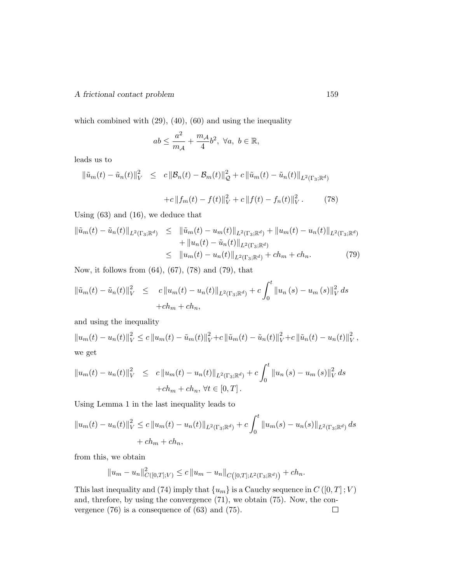which combined with  $(29)$ ,  $(40)$ ,  $(60)$  and using the inequality

$$
ab \le \frac{a^2}{m_{\mathcal{A}}} + \frac{m_{\mathcal{A}}}{4}b^2, \ \forall a, \ b \in \mathbb{R},
$$

leads us to

$$
\|\tilde{u}_m(t) - \tilde{u}_n(t)\|_V^2 \leq c \|B_n(t) - B_m(t)\|_{\mathcal{Q}}^2 + c \|\tilde{u}_m(t) - \tilde{u}_n(t)\|_{L^2(\Gamma_3; \mathbb{R}^d)}
$$

$$
+ c \|f_m(t) - f(t)\|_V^2 + c \|f(t) - f_n(t)\|_V^2. \tag{78}
$$

Using (63) and (16), we deduce that

$$
\|\tilde{u}_m(t) - \tilde{u}_n(t)\|_{L^2(\Gamma_3; \mathbb{R}^d)} \leq \|\tilde{u}_m(t) - u_m(t)\|_{L^2(\Gamma_3; \mathbb{R}^d)} + \|u_m(t) - u_n(t)\|_{L^2(\Gamma_3; \mathbb{R}^d)} + \|u_n(t) - \tilde{u}_n(t)\|_{L^2(\Gamma_3; \mathbb{R}^d)} \leq \|u_m(t) - u_n(t)\|_{L^2(\Gamma_3; \mathbb{R}^d)} + ch_m + ch_n.
$$
\n(79)

Now, it follows from (64), (67), (78) and (79), that

$$
\|\tilde{u}_m(t) - \tilde{u}_n(t)\|_V^2 \leq c \|u_m(t) - u_n(t)\|_{L^2(\Gamma_3; \mathbb{R}^d)} + c \int_0^t \|u_n(s) - u_m(s)\|_V^2 ds
$$
  
+  $ch_m + ch_n$ ,

and using the inequality

 $||u_m(t) - u_n(t)||_V^2 \leq c ||u_m(t) - \tilde{u}_m(t)||_V^2 + c ||\tilde{u}_m(t) - \tilde{u}_n(t)||_V^2 + c ||\tilde{u}_n(t) - u_n(t)||_V^2$  $_V^2$  , we get

$$
||u_m(t) - u_n(t)||_V^2 \leq c ||u_m(t) - u_n(t)||_{L^2(\Gamma_3; \mathbb{R}^d)} + c \int_0^t ||u_n(s) - u_m(s)||_V^2 ds
$$
  
+  $ch_m + ch_n, \forall t \in [0, T].$ 

Using Lemma 1 in the last inequality leads to

$$
||u_m(t) - u_n(t)||_V^2 \le c ||u_m(t) - u_n(t)||_{L^2(\Gamma_3; \mathbb{R}^d)} + c \int_0^t ||u_m(s) - u_n(s)||_{L^2(\Gamma_3; \mathbb{R}^d)} ds
$$
  
+  $ch_m + ch_n$ ,

from this, we obtain

$$
||u_m - u_n||^2_{C([0,T];V)} \le c ||u_m - u_n||_{C([0,T];L^2(\Gamma_3; \mathbb{R}^d))} + ch_n.
$$

This last inequality and (74) imply that  $\{u_m\}$  is a Cauchy sequence in  $C([0, T]; V)$ and, threfore, by using the convergence (71), we obtain (75). Now, the convergence (76) is a consequence of (63) and (75). $\Box$ 

V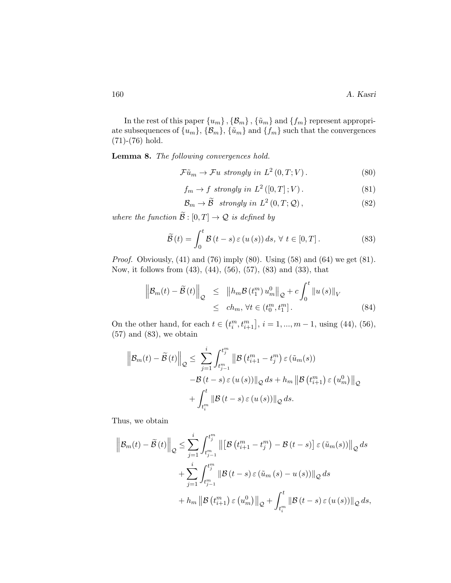In the rest of this paper  $\{u_m\}$  ,  $\{\mathcal{B}_m\}$  ,  $\{\tilde{u}_m\}$  and  $\{f_m\}$  represent appropriate subsequences of  $\{u_m\}$ ,  $\{\mathcal{B}_m\}$ ,  $\{\tilde{u}_m\}$  and  $\{f_m\}$  such that the convergences (71)-(76) hold.

Lemma 8. The following convergences hold.

$$
\mathcal{F}\tilde{u}_m \to \mathcal{F}u \ \text{ strongly in } L^2(0,T;V). \tag{80}
$$

$$
f_m \to f \ \text{strongly in } L^2([0, T]; V). \tag{81}
$$

$$
\mathcal{B}_m \to \widetilde{\mathcal{B}} \ \ strongly \ in \ L^2(0, T; \mathcal{Q}), \tag{82}
$$

where the function  $\mathcal{B} : [0, T] \to \mathcal{Q}$  is defined by

$$
\widetilde{\mathcal{B}}(t) = \int_0^t \mathcal{B}(t-s) \,\varepsilon(u(s)) \, ds, \,\forall \, t \in [0, T]. \tag{83}
$$

*Proof.* Obviously,  $(41)$  and  $(76)$  imply  $(80)$ . Using  $(58)$  and  $(64)$  we get  $(81)$ . Now, it follows from (43), (44), (56), (57), (83) and (33), that

$$
\left\| \mathcal{B}_{m}(t) - \widetilde{\mathcal{B}}(t) \right\|_{\mathcal{Q}} \leq \left\| h_{m} \mathcal{B}(t_{1}^{m}) u_{m}^{0} \right\|_{\mathcal{Q}} + c \int_{0}^{t} \left\| u(s) \right\|_{V} \leq ch_{m}, \forall t \in (t_{0}^{m}, t_{1}^{m}].
$$
\n(84)

On the other hand, for each  $t \in (t_i^m, t_{i+1}^m], i = 1, ..., m - 1$ , using (44), (56),  $(57)$  and  $(83)$ , we obtain

$$
\left\| \mathcal{B}_{m}(t) - \widetilde{\mathcal{B}}(t) \right\|_{\mathcal{Q}} \leq \sum_{j=1}^{i} \int_{t_{j-1}^{m}}^{t_{j}^{m}} \left\| \mathcal{B}\left(t_{i+1}^{m} - t_{j}^{m}\right) \varepsilon\left(\tilde{u}_{m}(s)\right) \right\|_{\mathcal{Q}} - \mathcal{B}\left(t - s\right) \varepsilon\left(u\left(s\right)\right) \left\|_{\mathcal{Q}} ds + h_{m} \left\| \mathcal{B}\left(t_{i+1}^{m}\right) \varepsilon\left(u_{m}^{0}\right) \right\|_{\mathcal{Q}} + \int_{t_{i}^{m}}^{t} \left\| \mathcal{B}\left(t - s\right) \varepsilon\left(u\left(s\right)\right) \right\|_{\mathcal{Q}} ds.
$$

Thus, we obtain

$$
\left\| \mathcal{B}_{m}(t) - \widetilde{\mathcal{B}}(t) \right\|_{\mathcal{Q}} \leq \sum_{j=1}^{i} \int_{t_{j-1}^{m}}^{t_{j}^{m}} \left\| \left[ \mathcal{B}\left(t_{i+1}^{m} - t_{j}^{m}\right) - \mathcal{B}\left(t-s\right) \right] \varepsilon\left(\widetilde{u}_{m}(s)\right) \right\|_{\mathcal{Q}} ds
$$
  
+ 
$$
\sum_{j=1}^{i} \int_{t_{j-1}^{m}}^{t_{j}^{m}} \left\| \mathcal{B}\left(t-s\right) \varepsilon\left(\widetilde{u}_{m}(s) - u\left(s\right) \right) \right\|_{\mathcal{Q}} ds
$$
  
+ 
$$
h_{m} \left\| \mathcal{B}\left(t_{i+1}^{m}\right) \varepsilon\left(u_{m}^{0}\right) \right\|_{\mathcal{Q}} + \int_{t_{i}^{m}}^{t} \left\| \mathcal{B}\left(t-s\right) \varepsilon\left(u\left(s\right) \right) \right\|_{\mathcal{Q}} ds,
$$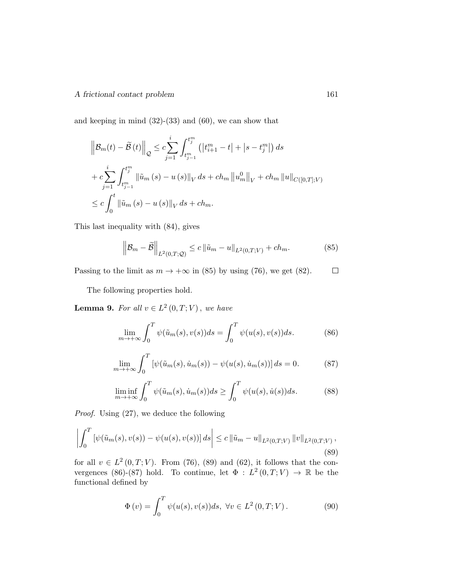and keeping in mind  $(32)-(33)$  and  $(60)$ , we can show that

$$
\left\| \mathcal{B}_{m}(t) - \tilde{\mathcal{B}}(t) \right\|_{\mathcal{Q}} \leq c \sum_{j=1}^{i} \int_{t_{j-1}^{m}}^{t_{j}^{m}} \left( \left| t_{i+1}^{m} - t \right| + \left| s - t_{j}^{m} \right| \right) ds
$$
  
+ 
$$
c \sum_{j=1}^{i} \int_{t_{j-1}^{m}}^{t_{j}^{m}} \left\| \tilde{u}_{m}(s) - u(s) \right\|_{V} ds + ch_{m} \left\| u_{m}^{0} \right\|_{V} + ch_{m} \left\| u \right\|_{C([0,T];V)}
$$
  

$$
\leq c \int_{0}^{t} \left\| \tilde{u}_{m}(s) - u(s) \right\|_{V} ds + ch_{m}.
$$

This last inequality with (84), gives

$$
\left\| \mathcal{B}_{m} - \tilde{\mathcal{B}} \right\|_{L^{2}(0,T;\mathcal{Q})} \le c \left\| \tilde{u}_{m} - u \right\|_{L^{2}(0,T;V)} + ch_{m}.
$$
 (85)

Passing to the limit as  $m \to +\infty$  in (85) by using (76), we get (82).  $\Box$ 

The following properties hold.

**Lemma 9.** For all  $v \in L^2(0,T;V)$ , we have

$$
\lim_{m \to +\infty} \int_0^T \psi(\tilde{u}_m(s), v(s)) ds = \int_0^T \psi(u(s), v(s)) ds.
$$
 (86)

$$
\lim_{m \to +\infty} \int_0^T \left[ \psi(\tilde{u}_m(s), \dot{u}_m(s)) - \psi(u(s), \dot{u}_m(s)) \right] ds = 0.
$$
 (87)

$$
\liminf_{m \to +\infty} \int_0^T \psi(\tilde{u}_m(s), \dot{u}_m(s)) ds \ge \int_0^T \psi(u(s), \dot{u}(s)) ds.
$$
 (88)

Proof. Using (27), we deduce the following

$$
\left| \int_0^T \left[ \psi(\tilde{u}_m(s), v(s)) - \psi(u(s), v(s)) \right] ds \right| \leq c \left\| \tilde{u}_m - u \right\|_{L^2(0,T;V)} \left\| v \right\|_{L^2(0,T;V)},
$$
\n(89)

for all  $v \in L^2(0,T;V)$ . From (76), (89) and (62), it follows that the convergences (86)-(87) hold. To continue, let  $\Phi: L^2(0,T;V) \to \mathbb{R}$  be the functional defined by

$$
\Phi(v) = \int_0^T \psi(u(s), v(s))ds, \ \forall v \in L^2(0, T; V).
$$
\n(90)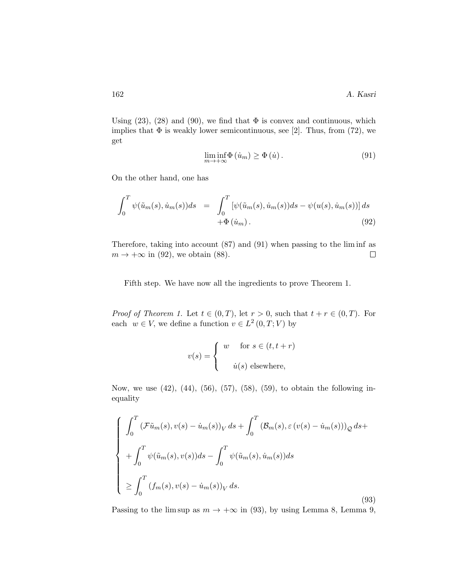Using  $(23)$ ,  $(28)$  and  $(90)$ , we find that  $\Phi$  is convex and continuous, which implies that  $\Phi$  is weakly lower semicontinuous, see [2]. Thus, from (72), we get

$$
\liminf_{m \to +\infty} \Phi(i_m) \ge \Phi(i).
$$
\n(91)

On the other hand, one has

$$
\int_0^T \psi(\tilde{u}_m(s), \dot{u}_m(s))ds = \int_0^T \left[\psi(\tilde{u}_m(s), \dot{u}_m(s))ds - \psi(u(s), \dot{u}_m(s))\right]ds
$$
  
+  $\Phi(\dot{u}_m)$ . (92)

Therefore, taking into account (87) and (91) when passing to the lim inf as  $m \to +\infty$  in (92), we obtain (88).  $\Box$ 

Fifth step. We have now all the ingredients to prove Theorem 1.

*Proof of Theorem 1.* Let  $t \in (0, T)$ , let  $r > 0$ , such that  $t + r \in (0, T)$ . For each  $w \in V$ , we define a function  $v \in L^2(0,T;V)$  by

$$
v(s) = \begin{cases} w & \text{for } s \in (t, t + r) \\ u(s) & \text{elsewhere,} \end{cases}
$$

Now, we use (42), (44), (56), (57), (58), (59), to obtain the following inequality

$$
\begin{cases}\n\int_0^T \left(\mathcal{F}\tilde{u}_m(s), v(s) - \dot{u}_m(s)\right)_V ds + \int_0^T \left(\mathcal{B}_m(s), \varepsilon\left(v(s) - \dot{u}_m(s)\right)\right)_Q ds + \\
+ \int_0^T \psi(\tilde{u}_m(s), v(s)) ds - \int_0^T \psi(\tilde{u}_m(s), \dot{u}_m(s)) ds \\
\ge \int_0^T \left(\mathcal{f}_m(s), v(s) - \dot{u}_m(s)\right)_V ds.\n\end{cases} \tag{93}
$$

Passing to the lim sup as  $m \to +\infty$  in (93), by using Lemma 8, Lemma 9,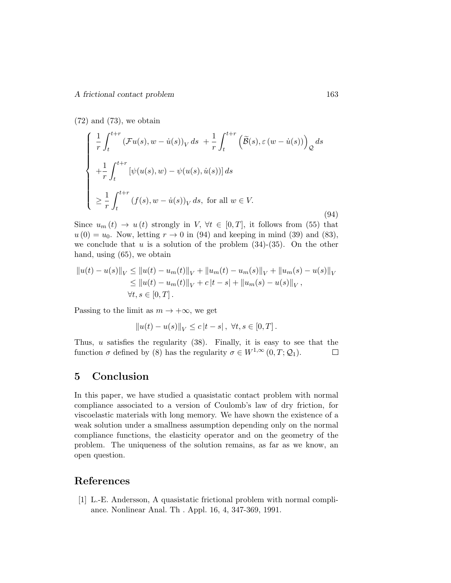$(72)$  and  $(73)$ , we obtain

$$
\begin{cases}\n\frac{1}{r} \int_{t}^{t+r} \left( \mathcal{F}u(s), w - \dot{u}(s) \right)_{V} ds + \frac{1}{r} \int_{t}^{t+r} \left( \widetilde{\mathcal{B}}(s), \varepsilon \left( w - \dot{u}(s) \right) \right)_{\mathcal{Q}} ds \\
+\frac{1}{r} \int_{t}^{t+r} \left[ \psi(u(s), w) - \psi(u(s), \dot{u}(s)) \right] ds \\
\geq \frac{1}{r} \int_{t}^{t+r} \left( f(s), w - \dot{u}(s) \right)_{V} ds, \text{ for all } w \in V.\n\end{cases}
$$
\n(94)

Since  $u_m(t) \to u(t)$  strongly in  $V, \forall t \in [0,T]$ , it follows from (55) that  $u(0) = u_0$ . Now, letting  $r \to 0$  in (94) and keeping in mind (39) and (83), we conclude that u is a solution of the problem  $(34)-(35)$ . On the other hand, using (65), we obtain

$$
||u(t) - u(s)||_V \le ||u(t) - u_m(t)||_V + ||u_m(t) - u_m(s)||_V + ||u_m(s) - u(s)||_V
$$
  
\n
$$
\le ||u(t) - u_m(t)||_V + c|t - s| + ||u_m(s) - u(s)||_V,
$$
  
\n
$$
\forall t, s \in [0, T].
$$

Passing to the limit as  $m \to +\infty$ , we get

$$
||u(t) – u(s)||V \le c |t – s|, \ \forall t, s \in [0, T].
$$

Thus,  $u$  satisfies the regularity (38). Finally, it is easy to see that the function  $\sigma$  defined by (8) has the regularity  $\sigma \in W^{1,\infty}(0,T;\mathcal{Q}_1)$ .  $\Box$ 

# 5 Conclusion

In this paper, we have studied a quasistatic contact problem with normal compliance associated to a version of Coulomb's law of dry friction, for viscoelastic materials with long memory. We have shown the existence of a weak solution under a smallness assumption depending only on the normal compliance functions, the elasticity operator and on the geometry of the problem. The uniqueness of the solution remains, as far as we know, an open question.

# References

[1] L.-E. Andersson, A quasistatic frictional problem with normal compliance. Nonlinear Anal. Th . Appl. 16, 4, 347-369, 1991.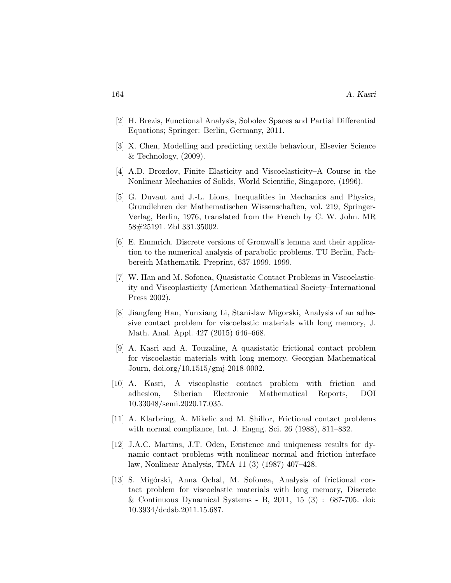- [2] H. Brezis, Functional Analysis, Sobolev Spaces and Partial Differential Equations; Springer: Berlin, Germany, 2011.
- [3] X. Chen, Modelling and predicting textile behaviour, Elsevier Science  $&$  Technology,  $(2009).$
- [4] A.D. Drozdov, Finite Elasticity and Viscoelasticity–A Course in the Nonlinear Mechanics of Solids, World Scientific, Singapore, (1996).
- [5] G. Duvaut and J.-L. Lions, Inequalities in Mechanics and Physics, Grundlehren der Mathematischen Wissenschaften, vol. 219, Springer-Verlag, Berlin, 1976, translated from the French by C. W. John. MR 58#25191. Zbl 331.35002.
- [6] E. Emmrich. Discrete versions of Gronwall's lemma and their application to the numerical analysis of parabolic problems. TU Berlin, Fachbereich Mathematik, Preprint, 637-1999, 1999.
- [7] W. Han and M. Sofonea, Quasistatic Contact Problems in Viscoelasticity and Viscoplasticity (American Mathematical Society–International Press 2002).
- [8] Jiangfeng Han, Yunxiang Li, Stanislaw Migorski, Analysis of an adhesive contact problem for viscoelastic materials with long memory, J. Math. Anal. Appl. 427 (2015) 646–668.
- [9] A. Kasri and A. Touzaline, A quasistatic frictional contact problem for viscoelastic materials with long memory, Georgian Mathematical Journ, doi.org/10.1515/gmj-2018-0002.
- [10] A. Kasri, A viscoplastic contact problem with friction and adhesion, Siberian Electronic Mathematical Reports, DOI 10.33048/semi.2020.17.035.
- [11] A. Klarbring, A. Mikelic and M. Shillor, Frictional contact problems with normal compliance, Int. J. Engng. Sci. 26 (1988), 811–832.
- [12] J.A.C. Martins, J.T. Oden, Existence and uniqueness results for dynamic contact problems with nonlinear normal and friction interface law, Nonlinear Analysis, TMA 11 (3) (1987) 407–428.
- [13] S. Migórski, Anna Ochal, M. Sofonea, Analysis of frictional contact problem for viscoelastic materials with long memory, Discrete & Continuous Dynamical Systems - B, 2011, 15 (3) : 687-705. doi: 10.3934/dcdsb.2011.15.687.